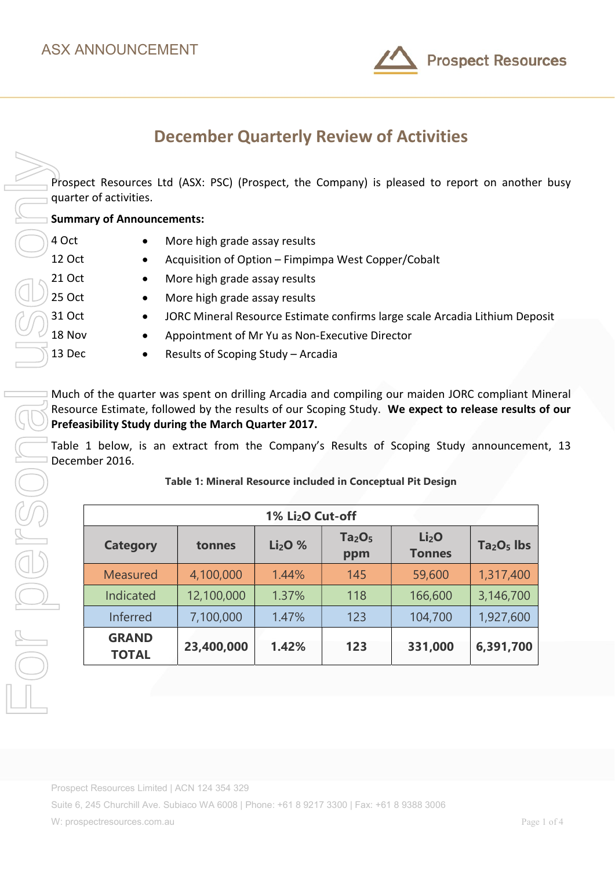

# December Quarterly Review of Activities

Prospect Resources Ltd (ASX: PSC) (Prospect, the Company) is pleased to report on another busy quarter of activities.

Summary of Announcements:

- 4 Oct More high grade assay results
- 12 Oct Acquisition of Option Fimpimpa West Copper/Cobalt
- 21 Oct More high grade assay results
- 25 Oct More high grade assay results
- 31 Oct JORC Mineral Resource Estimate confirms large scale Arcadia Lithium Deposit
- 18 Nov Appointment of Mr Yu as Non-Executive Director
- 13 Dec Results of Scoping Study Arcadia

Much of the quarter was spent on drilling Arcadia and compiling our maiden JORC compliant Mineral Resource Estimate, followed by the results of our Scoping Study. We expect to release results of our Prefeasibility Study during the March Quarter 2017.

Table 1 below, is an extract from the Company's Results of Scoping Study announcement, 13 December 2016.

| 1% Li <sub>2</sub> O Cut-off |            |          |                                       |                                    |             |
|------------------------------|------------|----------|---------------------------------------|------------------------------------|-------------|
| <b>Category</b>              | tonnes     | $Li2O$ % | Ta <sub>2</sub> O <sub>5</sub><br>ppm | Li <sub>2</sub> O<br><b>Tonnes</b> | $Ta2O5$ lbs |
| <b>Measured</b>              | 4,100,000  | 1.44%    | 145                                   | 59,600                             | 1,317,400   |
| Indicated                    | 12,100,000 | 1.37%    | 118                                   | 166,600                            | 3,146,700   |
| Inferred                     | 7,100,000  | 1.47%    | 123                                   | 104,700                            | 1,927,600   |
| <b>GRAND</b><br><b>TOTAL</b> | 23,400,000 | 1.42%    | 123                                   | 331,000                            | 6,391,700   |

### Table 1: Mineral Resource included in Conceptual Pit Design

Prospect Resources Limited | ACN 124 354 329

Suite 6, 245 Churchill Ave. Subiaco WA 6008 | Phone: +61 8 9217 3300 | Fax: +61 8 9388 3006

W: prospectresources.com.au extended to the state of 4 and 2 and 2 and 2 and 2 and 2 and 2 and 2 and 2 and 2 and 2 and 2 and 2 and 2 and 2 and 2 and 2 and 2 and 2 and 2 and 2 and 2 and 2 and 2 and 2 and 2 and 2 and 2 and 2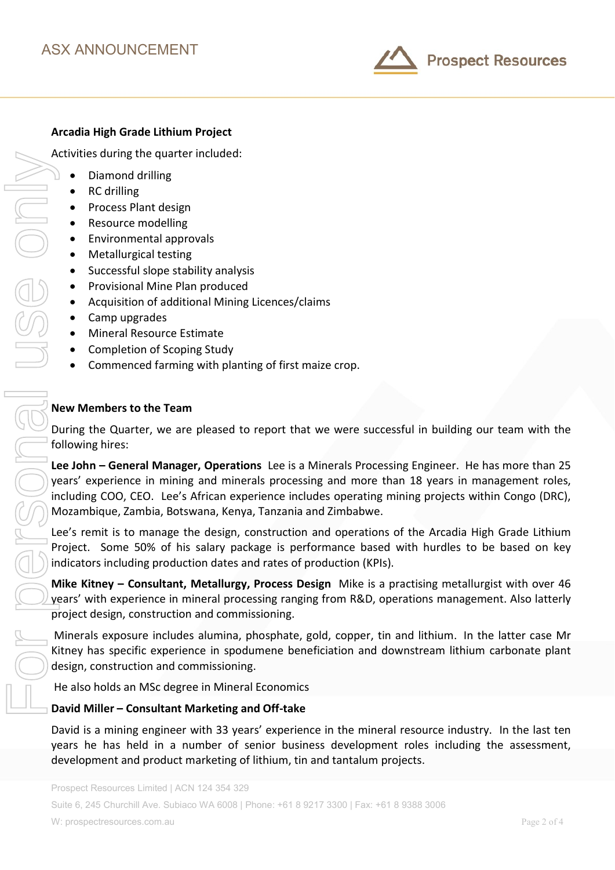

# Arcadia High Grade Lithium Project

Activities during the quarter included:

- Diamond drilling
- RC drilling
- Process Plant design
- Resource modelling
- Environmental approvals
- Metallurgical testing
- Successful slope stability analysis
- Provisional Mine Plan produced
- Acquisition of additional Mining Licences/claims
- Camp upgrades
- Mineral Resource Estimate
- Completion of Scoping Study
- Commenced farming with planting of first maize crop.

### New Members to the Team

During the Quarter, we are pleased to report that we were successful in building our team with the following hires:

Lee John – General Manager, Operations Lee is a Minerals Processing Engineer. He has more than 25 years' experience in mining and minerals processing and more than 18 years in management roles, including COO, CEO. Lee's African experience includes operating mining projects within Congo (DRC), Mozambique, Zambia, Botswana, Kenya, Tanzania and Zimbabwe.

Lee's remit is to manage the design, construction and operations of the Arcadia High Grade Lithium Project. Some 50% of his salary package is performance based with hurdles to be based on key indicators including production dates and rates of production (KPIs).

Mike Kitney – Consultant, Metallurgy, Process Design Mike is a practising metallurgist with over 46 years' with experience in mineral processing ranging from R&D, operations management. Also latterly project design, construction and commissioning.

 Minerals exposure includes alumina, phosphate, gold, copper, tin and lithium. In the latter case Mr Kitney has specific experience in spodumene beneficiation and downstream lithium carbonate plant design, construction and commissioning.

He also holds an MSc degree in Mineral Economics

### David Miller – Consultant Marketing and Off-take

David is a mining engineer with 33 years' experience in the mineral resource industry. In the last ten years he has held in a number of senior business development roles including the assessment,

Suite 6, 245 Churchill Ave. Subiaco WA 6008 | Phone: +61 8 9217 3300 | Fax: +61 8 9388 3006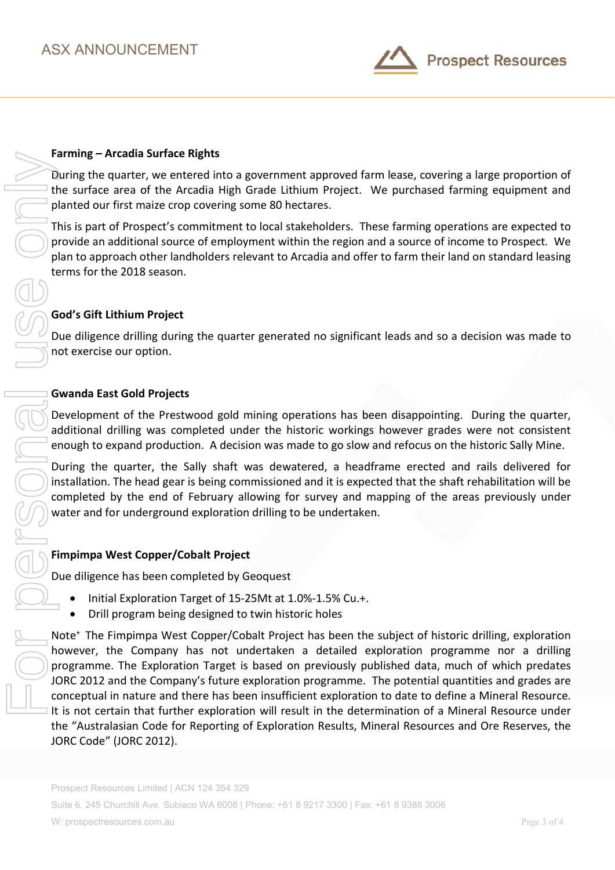

During the quarter, we entered into a government approved farm lease, covering a large proportion of the surface area of the Arcadia High Grade Lithium Project. We purchased farming equipment and planted our first maize crop covering some 80 hectares.

This is part of Prospect's commitment to local stakeholders. These farming operations are expected to provide an additional source of employment within the region and a source of income to Prospect. We plan to approach other landholders relevant to Arcadia and offer to farm their land on standard leasing terms for the 2018 season.

# God's Gift Lithium Project

Due diligence drilling during the quarter generated no significant leads and so a decision was made to not exercise our option.

### Gwanda East Gold Projects

Development of the Prestwood gold mining operations has been disappointing. During the quarter, additional drilling was completed under the historic workings however grades were not consistent enough to expand production. A decision was made to go slow and refocus on the historic Sally Mine.

During the quarter, the Sally shaft was dewatered, a headframe erected and rails delivered for installation. The head gear is being commissioned and it is expected that the shaft rehabilitation will be completed by the end of February allowing for survey and mapping of the areas previously under water and for underground exploration drilling to be undertaken.

### Fimpimpa West Copper/Cobalt Project

Due diligence has been completed by Geoquest

- Initial Exploration Target of 15-25Mt at 1.0%-1.5% Cu.+.
- Drill program being designed to twin historic holes

Note<sup>+</sup> The Fimpimpa West Copper/Cobalt Project has been the subject of historic drilling, exploration however, the Company has not undertaken a detailed exploration programme nor a drilling programme. The Exploration Target is based on previously published data, much of which predates JORC 2012 and the Company's future exploration programme. The potential quantities and grades are conceptual in nature and there has been insufficient exploration to date to define a Mineral Resource. It is not certain that further exploration will result in the determination of a Mineral Resource under the "Australasian Code for Reporting of Exploration Results, Mineral Resources and Ore Reserves, the